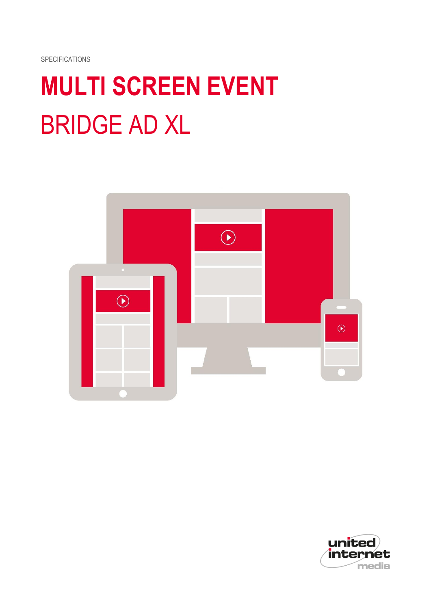SPECIFICATIONS

# **MULTI SCREEN EVENT** BRIDGE AD XL



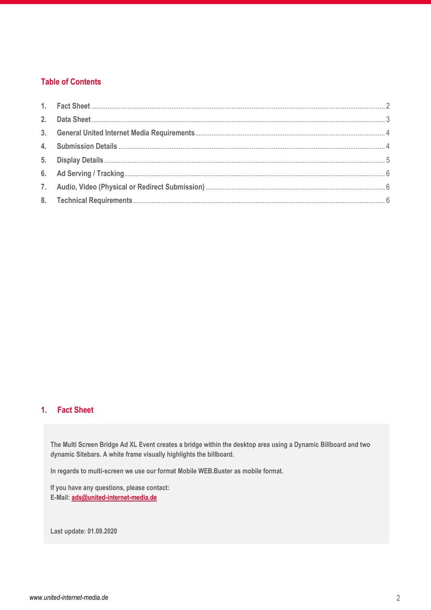# **Table of Contents**

# <span id="page-1-0"></span>**1. Fact Sheet**

**The Multi Screen Bridge Ad XL Event creates a bridge within the desktop area using a Dynamic Billboard and two dynamic Sitebars. A white frame visually highlights the billboard.** 

**In regards to multi-screen we use our format Mobile WEB.Buster as mobile format.**

**If you have any questions, please contact: E-Mail: [ads@united-internet-media.de](mailto:ads@united-internet-media.de)**

**Last update: 01.09.2020**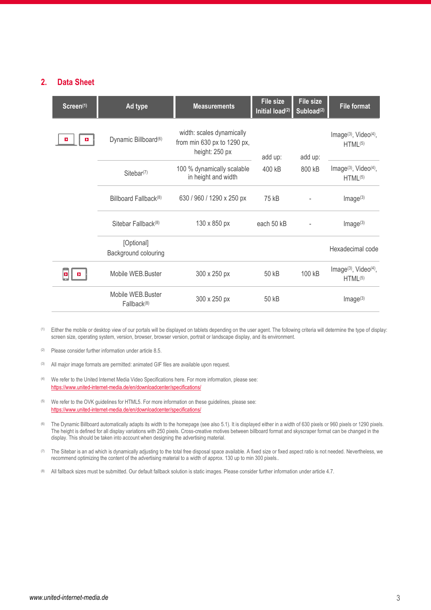### <span id="page-2-0"></span>**2. Data Sheet**

| Screen(1) | Ad type                               | <b>Measurements</b>                                                        | <b>File size</b><br>Initial load <sup>(2)</sup> | File size<br>Subload <sup>(2)</sup> | <b>File format</b>                                                   |
|-----------|---------------------------------------|----------------------------------------------------------------------------|-------------------------------------------------|-------------------------------------|----------------------------------------------------------------------|
|           | Dynamic Billboard <sup>(6)</sup>      | width: scales dynamically<br>from min 630 px to 1290 px,<br>height: 250 px | add up:                                         | add up:                             | Image <sup>(3)</sup> , Video <sup>(4)</sup> ,<br>HTML <sup>(5)</sup> |
|           | Sitebar <sup>(7)</sup>                | 100 % dynamically scalable<br>in height and width                          | 400 kB                                          | 800 kB                              | Image <sup>(3)</sup> , Video <sup>(4)</sup> ,<br>HTML <sup>(5)</sup> |
|           | Billboard Fallback <sup>(8)</sup>     | 630 / 960 / 1290 x 250 px                                                  | 75 kB                                           |                                     | Image <sup>(3)</sup>                                                 |
|           | Sitebar Fallback <sup>(8)</sup>       | 130 x 850 px                                                               | each 50 kB                                      |                                     | Image <sup>(3)</sup>                                                 |
|           | [Optional]<br>Background colouring    |                                                                            |                                                 |                                     | Hexadecimal code                                                     |
|           | Mobile WEB.Buster                     | 300 x 250 px                                                               | 50 kB                                           | 100 kB                              | Image <sup>(3)</sup> , Video <sup>(4)</sup> ,<br>HTML <sup>(5)</sup> |
|           | Mobile WEB.Buster<br>$Fallback^{(8)}$ | 300 x 250 px                                                               | 50 kB                                           |                                     | Image <sup>(3)</sup>                                                 |

- (1) Either the mobile or desktop view of our portals will be displayed on tablets depending on the user agent. The following criteria will determine the type of display: screen size, operating system, version, browser, browser version, portrait or landscape display, and its environment.
- (2) Please consider further information under article 8.5.
- (3) All major image formats are permitted: animated GIF files are available upon request.
- (4) We refer to the United Internet Media Video Specifications here. For more information, please see: <https://www.united-internet-media.de/en/downloadcenter/specifications/>
- (5) We refer to the OVK guidelines for HTML5. For more information on these guidelines, please see: <https://www.united-internet-media.de/en/downloadcenter/specifications/>
- <sup>(6)</sup> The Dynamic Billboard automatically adapts its width to the homepage (see also 5.1). It is displayed either in a width of 630 pixels or 960 pixels or 1290 pixels. The height is defined for all display variations with 250 pixels. Cross-creative motives between billboard format and skyscraper format can be changed in the display. This should be taken into account when designing the advertising material.
- $(7)$  The Sitebar is an ad which is dynamically adjusting to the total free disposal space available. A fixed size or fixed aspect ratio is not needed. Nevertheless, we recommend optimizing the content of the advertising material to a width of approx. 130 up to min 300 pixels..
- (8) All fallback sizes must be submitted. Our default fallback solution is static images. Please consider further information under article 4.7.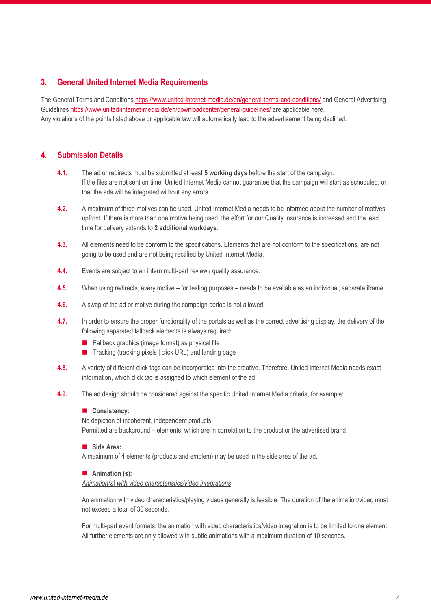# <span id="page-3-0"></span>**3. General United Internet Media Requirements**

The General Terms and Conditions <https://www.united-internet-media.de/en/general-terms-and-conditions/> and General Advertising Guideline[s https://www.united-internet-media.de/en/downloadcenter/general-guidelines/](https://www.united-internet-media.de/en/downloadcenter/general-guidelines/) are applicable here. Any violations of the points listed above or applicable law will automatically lead to the advertisement being declined.

# <span id="page-3-1"></span>**4. Submission Details**

- **4.1.** The ad or redirects must be submitted at least **5 working days** before the start of the campaign. If the files are not sent on time, United Internet Media cannot guarantee that the campaign will start as scheduled, or that the ads will be integrated without any errors.
- **4.2.** A maximum of three motives can be used. United Internet Media needs to be informed about the number of motives upfront. If there is more than one motive being used, the effort for our Quality Insurance is increased and the lead time for delivery extends to **2 additional workdays**.
- **4.3.** All elements need to be conform to the specifications. Elements that are not conform to the specifications, are not going to be used and are not being rectified by United Internet Media.
- **4.4.** Events are subject to an intern multi-part review / quality assurance.
- **4.5.** When using redirects, every motive for testing purposes needs to be available as an individual, separate iframe.
- **4.6.** A swap of the ad or motive during the campaign period is not allowed.
- **4.7.** In order to ensure the proper functionality of the portals as well as the correct advertising display, the delivery of the following separated fallback elements is always required:
	- $\blacksquare$  Fallback graphics (image format) as physical file
	- Tracking (tracking pixels | click URL) and landing page
- **4.8.** A variety of different click tags can be incorporated into the creative. Therefore, United Internet Media needs exact information, which click tag is assigned to which element of the ad.
- **4.9.** The ad design should be considered against the specific United Internet Media criteria, for example:

#### **Consistency:**

No depiction of incoherent, independent products.

Permitted are background – elements, which are in correlation to the product or the advertised brand.

#### **Side Area:**

A maximum of 4 elements (products and emblem) may be used in the side area of the ad.

#### ■ Animation (s):

*Animation(s) with video characteristics/video integrations*

An animation with video characteristics/playing videos generally is feasible. The duration of the animation/video must not exceed a total of 30 seconds.

For multi-part event formats, the animation with video characteristics/video integration is to be limited to one element. All further elements are only allowed with subtle animations with a maximum duration of 10 seconds.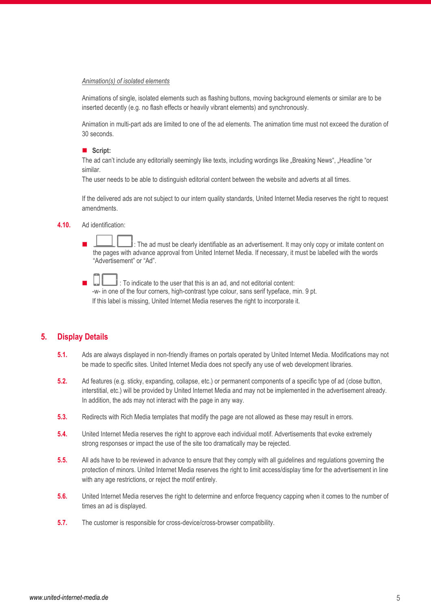#### *Animation(s) of isolated elements*

Animations of single, isolated elements such as flashing buttons, moving background elements or similar are to be inserted decently (e.g. no flash effects or heavily vibrant elements) and synchronously.

Animation in multi-part ads are limited to one of the ad elements. The animation time must not exceed the duration of 30 seconds.

#### **Script:**

The ad can't include any editorially seemingly like texts, including wordings like "Breaking News", "Headline "or similar.

The user needs to be able to distinguish editorial content between the website and adverts at all times.

If the delivered ads are not subject to our intern quality standards, United Internet Media reserves the right to request amendments.

#### **4.10.** Ad identification:

 $\mathbb I$  : The ad must be clearly identifiable as an advertisement. It may only copy or imitate content on the pages with advance approval from United Internet Media. If necessary, it must be labelled with the words "Advertisement" or "Ad".

 : To indicate to the user that this is an ad, and not editorial content: -w- in one of the four corners, high-contrast type colour, sans serif typeface, min. 9 pt. If this label is missing, United Internet Media reserves the right to incorporate it.

# <span id="page-4-0"></span>**5. Display Details**

- **5.1.** Ads are always displayed in non-friendly iframes on portals operated by United Internet Media. Modifications may not be made to specific sites. United Internet Media does not specify any use of web development libraries.
- **5.2.** Ad features (e.g. sticky, expanding, collapse, etc.) or permanent components of a specific type of ad (close button, interstitial, etc.) will be provided by United Internet Media and may not be implemented in the advertisement already. In addition, the ads may not interact with the page in any way.
- **5.3.** Redirects with Rich Media templates that modify the page are not allowed as these may result in errors.
- **5.4.** United Internet Media reserves the right to approve each individual motif. Advertisements that evoke extremely strong responses or impact the use of the site too dramatically may be rejected.
- **5.5.** All ads have to be reviewed in advance to ensure that they comply with all guidelines and regulations governing the protection of minors. United Internet Media reserves the right to limit access/display time for the advertisement in line with any age restrictions, or reject the motif entirely.
- **5.6.** United Internet Media reserves the right to determine and enforce frequency capping when it comes to the number of times an ad is displayed.
- **5.7.** The customer is responsible for cross-device/cross-browser compatibility.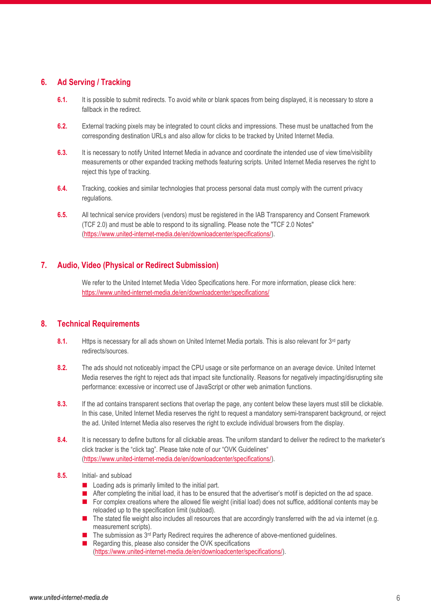# <span id="page-5-0"></span>**6. Ad Serving / Tracking**

- **6.1.** It is possible to submit redirects. To avoid white or blank spaces from being displayed, it is necessary to store a fallback in the redirect.
- **6.2.** External tracking pixels may be integrated to count clicks and impressions. These must be unattached from the corresponding destination URLs and also allow for clicks to be tracked by United Internet Media.
- **6.3.** It is necessary to notify United Internet Media in advance and coordinate the intended use of view time/visibility measurements or other expanded tracking methods featuring scripts. United Internet Media reserves the right to reject this type of tracking.
- **6.4.** Tracking, cookies and similar technologies that process personal data must comply with the current privacy regulations.
- **6.5.** All technical service providers (vendors) must be registered in the IAB Transparency and Consent Framework (TCF 2.0) and must be able to respond to its signalling. Please note the "TCF 2.0 Notes" [\(https://www.united-internet-media.de/en/downloadcenter/specifications/\)](https://www.united-internet-media.de/en/downloadcenter/specifications/).

# <span id="page-5-1"></span>**7. Audio, Video (Physical or Redirect Submission)**

We refer to the United Internet Media Video Specifications here. For more information, please click here: <https://www.united-internet-media.de/en/downloadcenter/specifications/>

# <span id="page-5-2"></span>**8. Technical Requirements**

- 8.1. Https is necessary for all ads shown on United Internet Media portals. This is also relevant for 3<sup>rd</sup> party redirects/sources.
- **8.2.** The ads should not noticeably impact the CPU usage or site performance on an average device. United Internet Media reserves the right to reject ads that impact site functionality. Reasons for negatively impacting/disrupting site performance: excessive or incorrect use of JavaScript or other web animation functions.
- **8.3.** If the ad contains transparent sections that overlap the page, any content below these layers must still be clickable. In this case, United Internet Media reserves the right to request a mandatory semi-transparent background, or reject the ad. United Internet Media also reserves the right to exclude individual browsers from the display.
- **8.4.** It is necessary to define buttons for all clickable areas. The uniform standard to deliver the redirect to the marketer's click tracker is the "click tag". Please take note of our "OVK Guidelines" [\(https://www.united-internet-media.de/en/downloadcenter/specifications/\)](https://www.united-internet-media.de/en/downloadcenter/specifications/).
- **8.5.** Initial- and subload
	- $\blacksquare$  Loading ads is primarily limited to the initial part.
	- After completing the initial load, it has to be ensured that the advertiser's motif is depicted on the ad space.
	- For complex creations where the allowed file weight (initial load) does not suffice, additional contents may be reloaded up to the specification limit (subload).
	- $\blacksquare$  The stated file weight also includes all resources that are accordingly transferred with the ad via internet (e.g. measurement scripts).
	- The submission as 3<sup>rd</sup> Party Redirect requires the adherence of above-mentioned guidelines.
	- Regarding this, please also consider the OVK specifications [\(https://www.united-internet-media.de/en/downloadcenter/specifications/\)](https://www.united-internet-media.de/en/downloadcenter/specifications/).